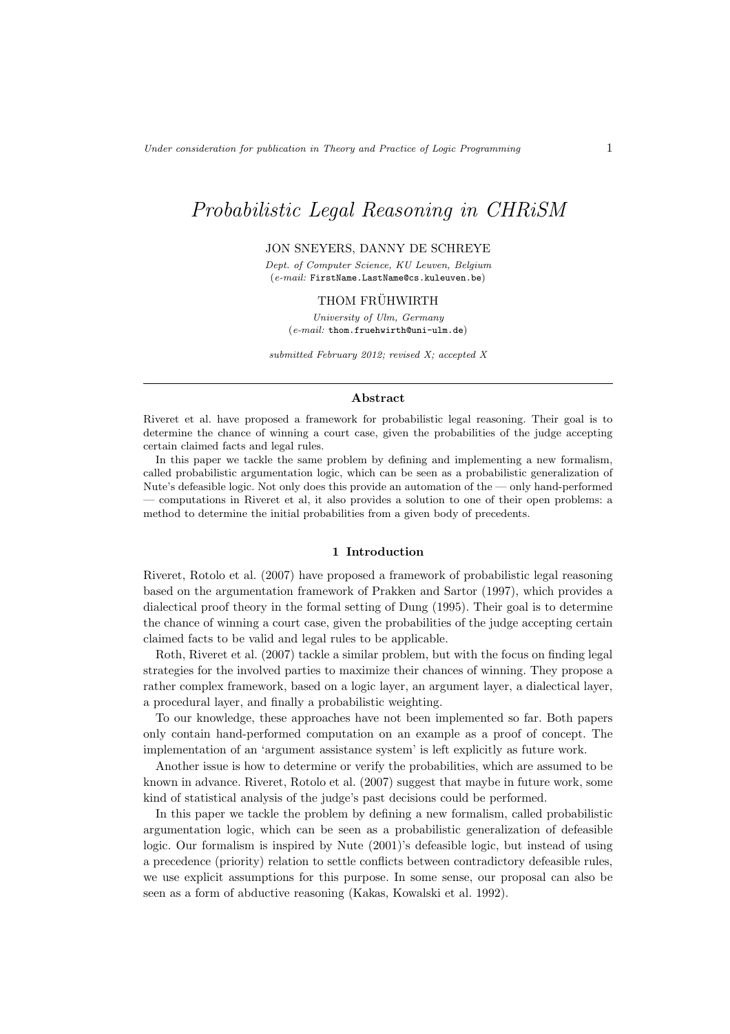# Probabilistic Legal Reasoning in CHRiSM

# JON SNEYERS, DANNY DE SCHREYE

*Dept. of Computer Science, KU Leuven, Belgium* (*e-mail:* FirstName.LastName@cs.kuleuven.be)

## THOM FRÜHWIRTH

*University of Ulm, Germany* (*e-mail:* thom.fruehwirth@uni-ulm.de)

*submitted February 2012; revised X; accepted X*

#### Abstract

Riveret et al. have proposed a framework for probabilistic legal reasoning. Their goal is to determine the chance of winning a court case, given the probabilities of the judge accepting certain claimed facts and legal rules.

In this paper we tackle the same problem by defining and implementing a new formalism, called probabilistic argumentation logic, which can be seen as a probabilistic generalization of Nute's defeasible logic. Not only does this provide an automation of the — only hand-performed — computations in Riveret et al, it also provides a solution to one of their open problems: a method to determine the initial probabilities from a given body of precedents.

## 1 Introduction

Riveret, Rotolo et al. (2007) have proposed a framework of probabilistic legal reasoning based on the argumentation framework of Prakken and Sartor (1997), which provides a dialectical proof theory in the formal setting of Dung (1995). Their goal is to determine the chance of winning a court case, given the probabilities of the judge accepting certain claimed facts to be valid and legal rules to be applicable.

Roth, Riveret et al. (2007) tackle a similar problem, but with the focus on finding legal strategies for the involved parties to maximize their chances of winning. They propose a rather complex framework, based on a logic layer, an argument layer, a dialectical layer, a procedural layer, and finally a probabilistic weighting.

To our knowledge, these approaches have not been implemented so far. Both papers only contain hand-performed computation on an example as a proof of concept. The implementation of an 'argument assistance system' is left explicitly as future work.

Another issue is how to determine or verify the probabilities, which are assumed to be known in advance. Riveret, Rotolo et al. (2007) suggest that maybe in future work, some kind of statistical analysis of the judge's past decisions could be performed.

In this paper we tackle the problem by defining a new formalism, called probabilistic argumentation logic, which can be seen as a probabilistic generalization of defeasible logic. Our formalism is inspired by Nute (2001)'s defeasible logic, but instead of using a precedence (priority) relation to settle conflicts between contradictory defeasible rules, we use explicit assumptions for this purpose. In some sense, our proposal can also be seen as a form of abductive reasoning (Kakas, Kowalski et al. 1992).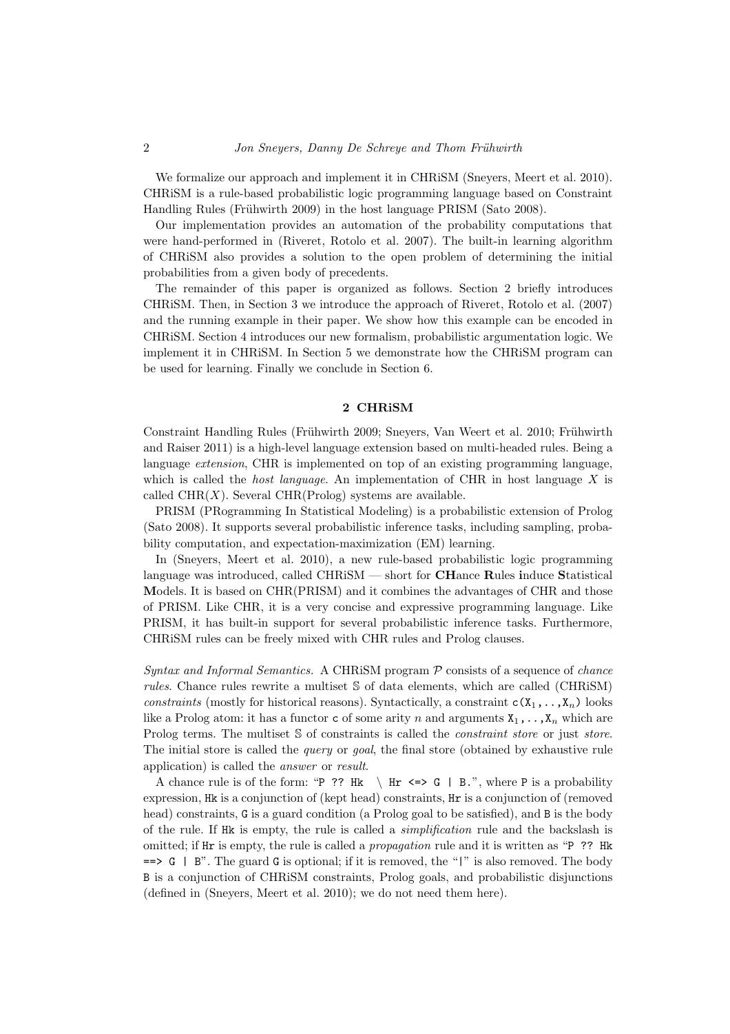We formalize our approach and implement it in CHRISM (Sneyers, Meert et al. 2010). CHRiSM is a rule-based probabilistic logic programming language based on Constraint Handling Rules (Frühwirth 2009) in the host language PRISM (Sato 2008).

Our implementation provides an automation of the probability computations that were hand-performed in (Riveret, Rotolo et al. 2007). The built-in learning algorithm of CHRiSM also provides a solution to the open problem of determining the initial probabilities from a given body of precedents.

The remainder of this paper is organized as follows. Section 2 briefly introduces CHRiSM. Then, in Section 3 we introduce the approach of Riveret, Rotolo et al. (2007) and the running example in their paper. We show how this example can be encoded in CHRiSM. Section 4 introduces our new formalism, probabilistic argumentation logic. We implement it in CHRiSM. In Section 5 we demonstrate how the CHRiSM program can be used for learning. Finally we conclude in Section 6.

# 2 CHRiSM

Constraint Handling Rules (Frühwirth 2009; Sneyers, Van Weert et al. 2010; Frühwirth and Raiser 2011) is a high-level language extension based on multi-headed rules. Being a language extension, CHR is implemented on top of an existing programming language, which is called the *host language*. An implementation of CHR in host language  $X$  is called  $CHR(X)$ . Several  $CHR(Prolog)$  systems are available.

PRISM (PRogramming In Statistical Modeling) is a probabilistic extension of Prolog (Sato 2008). It supports several probabilistic inference tasks, including sampling, probability computation, and expectation-maximization (EM) learning.

In (Sneyers, Meert et al. 2010), a new rule-based probabilistic logic programming language was introduced, called  $\text{CHRiSM}$  — short for **CH**ance **Rules induce Statistical** Models. It is based on CHR(PRISM) and it combines the advantages of CHR and those of PRISM. Like CHR, it is a very concise and expressive programming language. Like PRISM, it has built-in support for several probabilistic inference tasks. Furthermore, CHRiSM rules can be freely mixed with CHR rules and Prolog clauses.

Syntax and Informal Semantics. A CHRISM program  $P$  consists of a sequence of *chance* rules. Chance rules rewrite a multiset S of data elements, which are called (CHRiSM) constraints (mostly for historical reasons). Syntactically, a constraint  $c(X_1,...,X_n)$  looks like a Prolog atom: it has a functor c of some arity n and arguments  $X_1, \ldots, X_n$  which are Prolog terms. The multiset S of constraints is called the *constraint store* or just *store*. The initial store is called the *query* or *goal*, the final store (obtained by exhaustive rule application) is called the answer or result.

A chance rule is of the form: "P ?? Hk  $\ \ \ \ \ \ \ \ \ \ \ \ \ H \leq \geq > G \ \ \ \ \ \ \ B \ . \$ ", where P is a probability expression, Hk is a conjunction of (kept head) constraints, Hr is a conjunction of (removed head) constraints, G is a guard condition (a Prolog goal to be satisfied), and B is the body of the rule. If Hk is empty, the rule is called a simplification rule and the backslash is omitted; if Hr is empty, the rule is called a *propagation* rule and it is written as "P ?? Hk  $=$   $\rightarrow$  G | B". The guard G is optional; if it is removed, the "|" is also removed. The body B is a conjunction of CHRiSM constraints, Prolog goals, and probabilistic disjunctions (defined in (Sneyers, Meert et al. 2010); we do not need them here).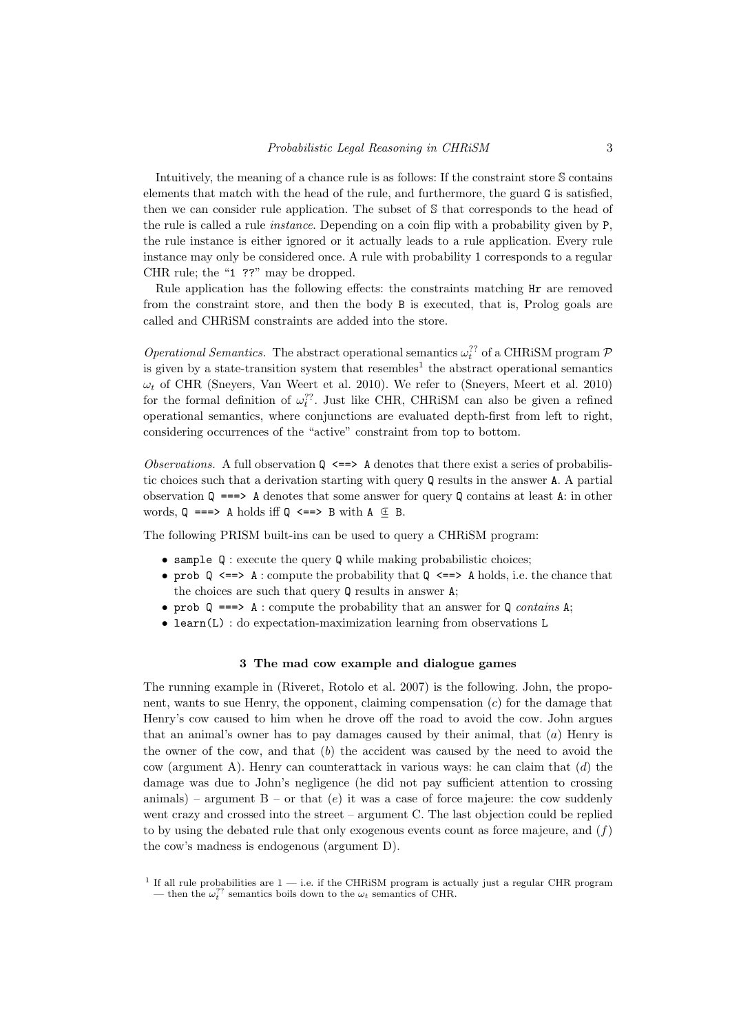Intuitively, the meaning of a chance rule is as follows: If the constraint store S contains elements that match with the head of the rule, and furthermore, the guard G is satisfied, then we can consider rule application. The subset of S that corresponds to the head of the rule is called a rule instance. Depending on a coin flip with a probability given by P, the rule instance is either ignored or it actually leads to a rule application. Every rule instance may only be considered once. A rule with probability 1 corresponds to a regular CHR rule; the "1 ??" may be dropped.

Rule application has the following effects: the constraints matching Hr are removed from the constraint store, and then the body B is executed, that is, Prolog goals are called and CHRiSM constraints are added into the store.

*Operational Semantics*. The abstract operational semantics  $\omega_t^{2}$  of a CHRiSM program  $P$ is given by a state-transition system that  $resembles<sup>1</sup>$  the abstract operational semantics  $\omega_t$  of CHR (Sneyers, Van Weert et al. 2010). We refer to (Sneyers, Meert et al. 2010) for the formal definition of  $\omega_t^2$ . Just like CHR, CHRiSM can also be given a refined operational semantics, where conjunctions are evaluated depth-first from left to right, considering occurrences of the "active" constraint from top to bottom.

Observations. A full observation  $\mathbb{Q} \leq \Rightarrow$  A denotes that there exist a series of probabilistic choices such that a derivation starting with query Q results in the answer A. A partial observation  $\mathbb{Q}$  ===> A denotes that some answer for query  $\mathbb{Q}$  contains at least A: in other words,  $Q \implies A$  holds iff  $Q \iff B$  with  $A \subseteq B$ .

The following PRISM built-ins can be used to query a CHRiSM program:

- sample  $Q$ : execute the query  $Q$  while making probabilistic choices;
- prob  $\mathbb Q$  <==> A : compute the probability that  $\mathbb Q$  <==> A holds, i.e. the chance that the choices are such that query Q results in answer A;
- prob  $Q \implies A :$  compute the probability that an answer for  $Q$  contains A;
- learn(L) : do expectation-maximization learning from observations L

#### 3 The mad cow example and dialogue games

The running example in (Riveret, Rotolo et al. 2007) is the following. John, the proponent, wants to sue Henry, the opponent, claiming compensation  $(c)$  for the damage that Henry's cow caused to him when he drove off the road to avoid the cow. John argues that an animal's owner has to pay damages caused by their animal, that  $(a)$  Henry is the owner of the cow, and that  $(b)$  the accident was caused by the need to avoid the cow (argument A). Henry can counterattack in various ways: he can claim that  $(d)$  the damage was due to John's negligence (he did not pay sufficient attention to crossing animals) – argument  $B - or$  that (e) it was a case of force majeure: the cow suddenly went crazy and crossed into the street – argument C. The last objection could be replied to by using the debated rule that only exogenous events count as force majeure, and  $(f)$ the cow's madness is endogenous (argument D).

<sup>&</sup>lt;sup>1</sup> If all rule probabilities are  $1$  — i.e. if the CHRiSM program is actually just a regular CHR program — then the  $\omega_t^{\gamma}$  semantics boils down to the  $\omega_t$  semantics of CHR.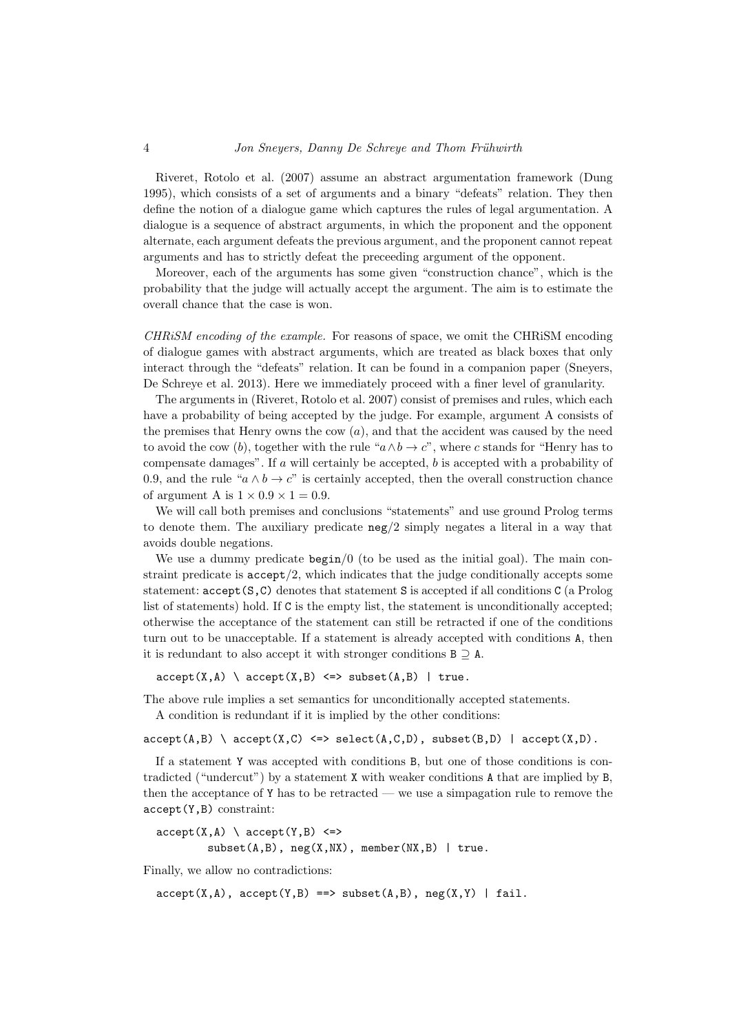#### 4 *Jon Snevers, Danny De Schreye and Thom Frühwirth*

Riveret, Rotolo et al. (2007) assume an abstract argumentation framework (Dung 1995), which consists of a set of arguments and a binary "defeats" relation. They then define the notion of a dialogue game which captures the rules of legal argumentation. A dialogue is a sequence of abstract arguments, in which the proponent and the opponent alternate, each argument defeats the previous argument, and the proponent cannot repeat arguments and has to strictly defeat the preceeding argument of the opponent.

Moreover, each of the arguments has some given "construction chance", which is the probability that the judge will actually accept the argument. The aim is to estimate the overall chance that the case is won.

CHRiSM encoding of the example. For reasons of space, we omit the CHRiSM encoding of dialogue games with abstract arguments, which are treated as black boxes that only interact through the "defeats" relation. It can be found in a companion paper (Sneyers, De Schreye et al. 2013). Here we immediately proceed with a finer level of granularity.

The arguments in (Riveret, Rotolo et al. 2007) consist of premises and rules, which each have a probability of being accepted by the judge. For example, argument A consists of the premises that Henry owns the cow  $(a)$ , and that the accident was caused by the need to avoid the cow (b), together with the rule " $a \wedge b \rightarrow c$ ", where c stands for "Henry has to compensate damages". If  $a$  will certainly be accepted,  $b$  is accepted with a probability of 0.9, and the rule " $a \wedge b \rightarrow c$ " is certainly accepted, then the overall construction chance of argument A is  $1 \times 0.9 \times 1 = 0.9$ .

We will call both premises and conclusions "statements" and use ground Prolog terms to denote them. The auxiliary predicate neg/2 simply negates a literal in a way that avoids double negations.

We use a dummy predicate  $\frac{\log n}{0}$  (to be used as the initial goal). The main constraint predicate is  $accept/2$ , which indicates that the judge conditionally accepts some statement: accept(S,C) denotes that statement S is accepted if all conditions C (a Prolog list of statements) hold. If C is the empty list, the statement is unconditionally accepted; otherwise the acceptance of the statement can still be retracted if one of the conditions turn out to be unacceptable. If a statement is already accepted with conditions A, then it is redundant to also accept it with stronger conditions  $B \supset A$ .

 $accept(X, A) \setminus accept(X, B) \iff subset(A, B) \mid true.$ 

The above rule implies a set semantics for unconditionally accepted statements.

A condition is redundant if it is implied by the other conditions:

 $accept(A,B) \setminus accept(X,C) \iff select(A,C,D), subset(B,D) \mid accept(X,D).$ 

If a statement Y was accepted with conditions B, but one of those conditions is contradicted ("undercut") by a statement X with weaker conditions A that are implied by B, then the acceptance of Y has to be retracted — we use a simpagation rule to remove the accept(Y,B) constraint:

```
accept(X, A) \setminus accept(Y, B) \leqsubset(A,B), neg(X,NX), member(NX,B) | true.
```
Finally, we allow no contradictions:

 $accept(X, A)$ ,  $accept(Y, B) \implies subset(A, B)$ ,  $neg(X, Y)$  | fail.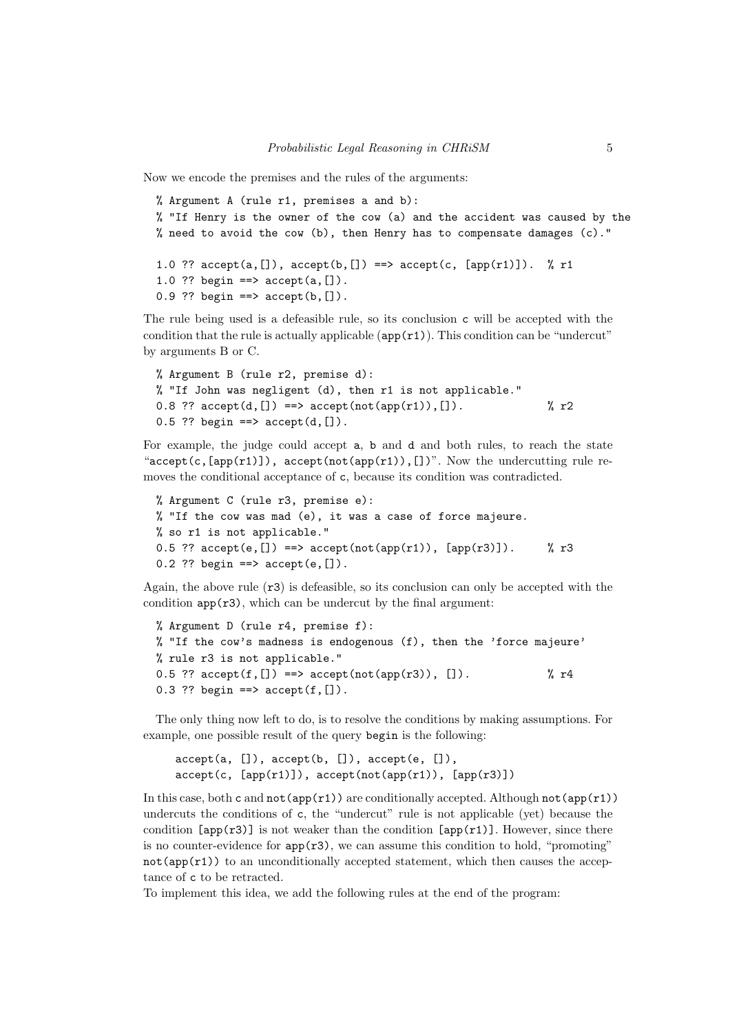Now we encode the premises and the rules of the arguments:

```
% Argument A (rule r1, premises a and b):
% "If Henry is the owner of the cow (a) and the accident was caused by the
% need to avoid the cow (b), then Henry has to compensate damages (c)."
1.0 ?? accept(a, []), accept(b, []) ==> accept(c, [app(r1)]). % r1
1.0 ?? begin ==> accept(a, []).
0.9 ?? begin ==> accept(b, []).
```
The rule being used is a defeasible rule, so its conclusion c will be accepted with the condition that the rule is actually applicable  $(\text{app}(r1))$ . This condition can be "undercut" by arguments B or C.

```
% Argument B (rule r2, premise d):
% "If John was negligent (d), then r1 is not applicable."
0.8 ?? accept(d, [] ==> accept(not(app(r1)), []. \% r2
0.5 ?? begin ==> accept(d, []).
```
For example, the judge could accept a, b and d and both rules, to reach the state "accept(c,  $[app(r1)]$ ), accept(not(app(r1)), [])". Now the undercutting rule removes the conditional acceptance of c, because its condition was contradicted.

```
% Argument C (rule r3, premise e):
% "If the cow was mad (e), it was a case of force majeure.
% so r1 is not applicable."
0.5 ?? accept(e, []) ==> accept(not(app(r1)), [app(r3)]. % r3
0.2 ?? begin ==> accept(e, []).
```
Again, the above rule  $(\tau 3)$  is defeasible, so its conclusion can only be accepted with the condition  $app(r3)$ , which can be undercut by the final argument:

```
% Argument D (rule r4, premise f):
% "If the cow's madness is endogenous (f), then the 'force majeure'
% rule r3 is not applicable."
0.5 ?? accept(f, []) \implies accept(not(app(r3)), []. \% r40.3 ?? begin ==> accept(f, []).
```
The only thing now left to do, is to resolve the conditions by making assumptions. For example, one possible result of the query begin is the following:

```
accept(a, []), accept(b, []), accept(e, []),
accept(c, [app(r1)]), accept(not(app(r1)), [app(r3)])
```
In this case, both c and  $not(app(r1))$  are conditionally accepted. Although  $not(app(r1))$ undercuts the conditions of c, the "undercut" rule is not applicable (yet) because the condition  $\text{[app(r3)]}$  is not weaker than the condition  $\text{[app(r1)]}$ . However, since there is no counter-evidence for  $app(r3)$ , we can assume this condition to hold, "promoting"  $not(app(r1))$  to an unconditionally accepted statement, which then causes the acceptance of c to be retracted.

To implement this idea, we add the following rules at the end of the program: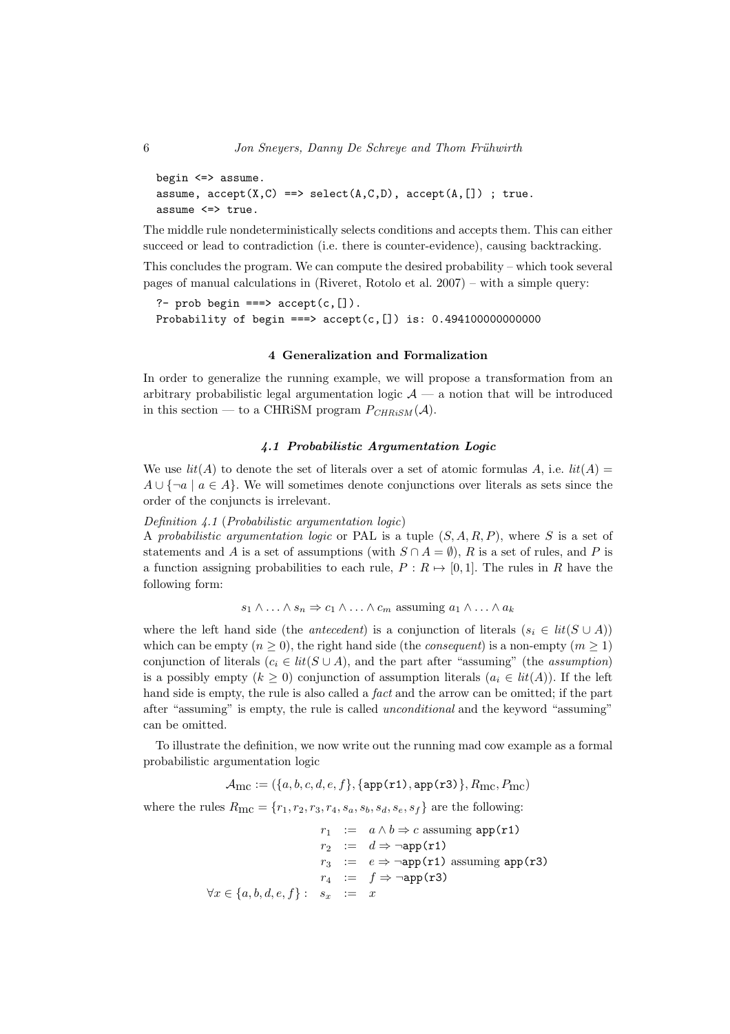```
begin \le > assume.
assume, accept(X, C) \implies select(A, C, D), accept(A, []); true.
assume <=> true.
```
The middle rule nondeterministically selects conditions and accepts them. This can either succeed or lead to contradiction (i.e. there is counter-evidence), causing backtracking.

This concludes the program. We can compute the desired probability – which took several pages of manual calculations in (Riveret, Rotolo et al. 2007) – with a simple query:

```
?- prob begin ===> accept(c, []).
Probability of begin ===> accept(c,[]) is: 0.494100000000000
```
# 4 Generalization and Formalization

In order to generalize the running example, we will propose a transformation from an arbitrary probabilistic legal argumentation logic  $\mathcal{A}$  — a notion that will be introduced in this section — to a CHRiSM program  $P_{CHRiSM}(\mathcal{A})$ .

#### 4.1 Probabilistic Argumentation Logic

We use  $lit(A)$  to denote the set of literals over a set of atomic formulas A, i.e.  $lit(A)$  $A \cup \{\neg a \mid a \in A\}$ . We will sometimes denote conjunctions over literals as sets since the order of the conjuncts is irrelevant.

#### Definition 4.1 (Probabilistic argumentation logic)

A probabilistic argumentation logic or PAL is a tuple  $(S, A, R, P)$ , where S is a set of statements and A is a set of assumptions (with  $S \cap A = \emptyset$ ), R is a set of rules, and P is a function assigning probabilities to each rule,  $P : R \mapsto [0, 1]$ . The rules in R have the following form:

$$
s_1 \wedge \ldots \wedge s_n \Rightarrow c_1 \wedge \ldots \wedge c_m
$$
 assuming  $a_1 \wedge \ldots \wedge a_k$ 

where the left hand side (the *antecedent*) is a conjunction of literals  $(s_i \in lit(S \cup A))$ which can be empty  $(n \geq 0)$ , the right hand side (the *consequent*) is a non-empty  $(m \geq 1)$ conjunction of literals  $(c_i \in lit(S \cup A))$ , and the part after "assuming" (the assumption) is a possibly empty  $(k \geq 0)$  conjunction of assumption literals  $(a_i \in lit(A))$ . If the left hand side is empty, the rule is also called a *fact* and the arrow can be omitted; if the part after "assuming" is empty, the rule is called unconditional and the keyword "assuming" can be omitted.

To illustrate the definition, we now write out the running mad cow example as a formal probabilistic argumentation logic

$$
\mathcal{A}_{\text{mc}} := (\{a, b, c, d, e, f\}, \{\text{app(r1)}, \text{app(r3)}\}, R_{\text{mc}}, P_{\text{mc}})
$$

where the rules  $R_{\text{mc}} = \{r_1, r_2, r_3, r_4, s_a, s_b, s_d, s_e, s_f\}$  are the following:

 $r_1$  :=  $a \wedge b \Rightarrow c$  assuming app(r1)  $r_2 := d \Rightarrow \neg app(r1)$  $r_3 := e \Rightarrow \neg \text{app}(\text{r1})$  assuming app(r3)  $r_4$  :=  $f \Rightarrow \neg \text{app}(\text{r3})$  $\forall x \in \{a, b, d, e, f\} : s_x := x$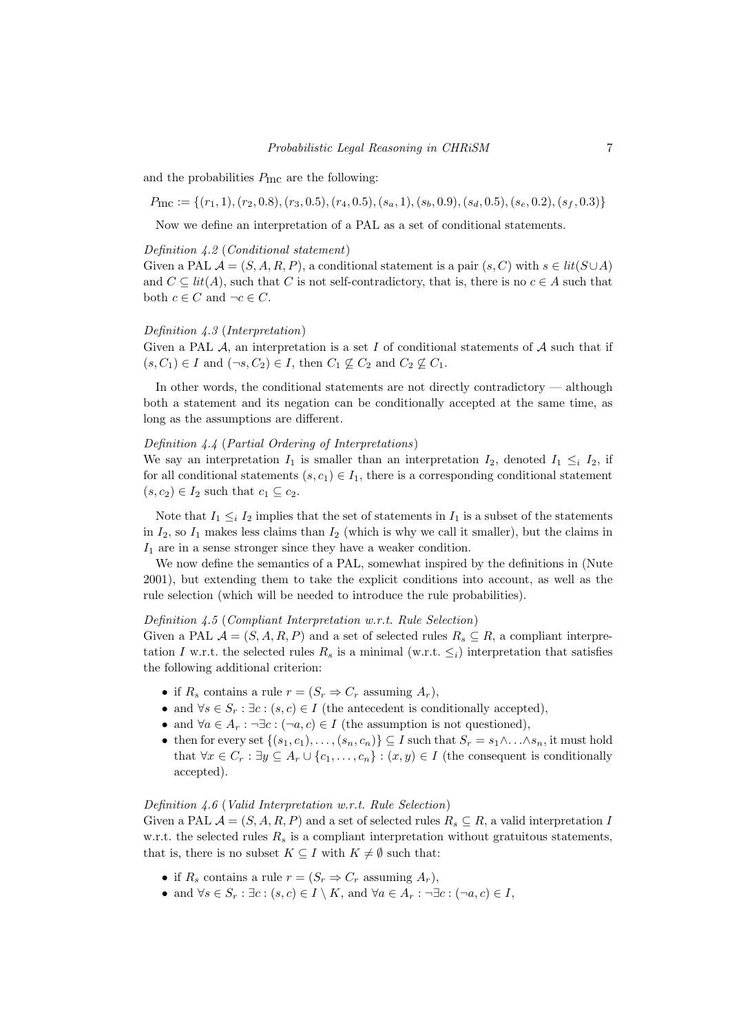and the probabilities  $P_{\text{mc}}$  are the following:

 $P_{\text{mc}} := \{(r_1, 1), (r_2, 0.8), (r_3, 0.5), (r_4, 0.5), (s_a, 1), (s_b, 0.9), (s_d, 0.5), (s_e, 0.2), (s_f, 0.3)\}\$ 

Now we define an interpretation of a PAL as a set of conditional statements.

#### Definition 4.2 (Conditional statement)

Given a PAL  $\mathcal{A} = (S, A, R, P)$ , a conditional statement is a pair  $(s, C)$  with  $s \in lit(S \cup A)$ and  $C \subseteq lit(A)$ , such that C is not self-contradictory, that is, there is no  $c \in A$  such that both  $c \in C$  and  $\neg c \in C$ .

#### Definition 4.3 (Interpretation)

Given a PAL  $A$ , an interpretation is a set I of conditional statements of  $A$  such that if  $(s, C_1) \in I$  and  $(\neg s, C_2) \in I$ , then  $C_1 \not\subseteq C_2$  and  $C_2 \not\subseteq C_1$ .

In other words, the conditional statements are not directly contradictory — although both a statement and its negation can be conditionally accepted at the same time, as long as the assumptions are different.

#### Definition 4.4 (Partial Ordering of Interpretations)

We say an interpretation  $I_1$  is smaller than an interpretation  $I_2$ , denoted  $I_1 \leq i \ I_2$ , if for all conditional statements  $(s, c_1) \in I_1$ , there is a corresponding conditional statement  $(s, c_2) \in I_2$  such that  $c_1 \subseteq c_2$ .

Note that  $I_1 \leq_i I_2$  implies that the set of statements in  $I_1$  is a subset of the statements in  $I_2$ , so  $I_1$  makes less claims than  $I_2$  (which is why we call it smaller), but the claims in  $I_1$  are in a sense stronger since they have a weaker condition.

We now define the semantics of a PAL, somewhat inspired by the definitions in (Nute 2001), but extending them to take the explicit conditions into account, as well as the rule selection (which will be needed to introduce the rule probabilities).

## Definition 4.5 (Compliant Interpretation w.r.t. Rule Selection)

Given a PAL  $\mathcal{A} = (S, A, R, P)$  and a set of selected rules  $R_s \subseteq R$ , a compliant interpretation I w.r.t. the selected rules  $R_s$  is a minimal (w.r.t.  $\leq_i$ ) interpretation that satisfies the following additional criterion:

- if  $R_s$  contains a rule  $r = (S_r \Rightarrow C_r$  assuming  $A_r$ ),
- and  $\forall s \in S_r : \exists c : (s, c) \in I$  (the antecedent is conditionally accepted),
- and  $\forall a \in A_r : \neg \exists c : (\neg a, c) \in I$  (the assumption is not questioned),
- then for every set  $\{(s_1, c_1), \ldots, (s_n, c_n)\}\subseteq I$  such that  $S_r = s_1 \wedge \ldots \wedge s_n$ , it must hold that  $\forall x \in C_r : \exists y \subseteq A_r \cup \{c_1, \ldots, c_n\} : (x, y) \in I$  (the consequent is conditionally accepted).

#### Definition 4.6 (Valid Interpretation w.r.t. Rule Selection)

Given a PAL  $\mathcal{A} = (S, A, R, P)$  and a set of selected rules  $R_s \subseteq R$ , a valid interpretation I w.r.t. the selected rules  $R_s$  is a compliant interpretation without gratuitous statements, that is, there is no subset  $K \subseteq I$  with  $K \neq \emptyset$  such that:

- if  $R_s$  contains a rule  $r = (S_r \Rightarrow C_r$  assuming  $A_r$ ),
- and  $\forall s \in S_r : \exists c : (s, c) \in I \setminus K$ , and  $\forall a \in A_r : \neg \exists c : (\neg a, c) \in I$ ,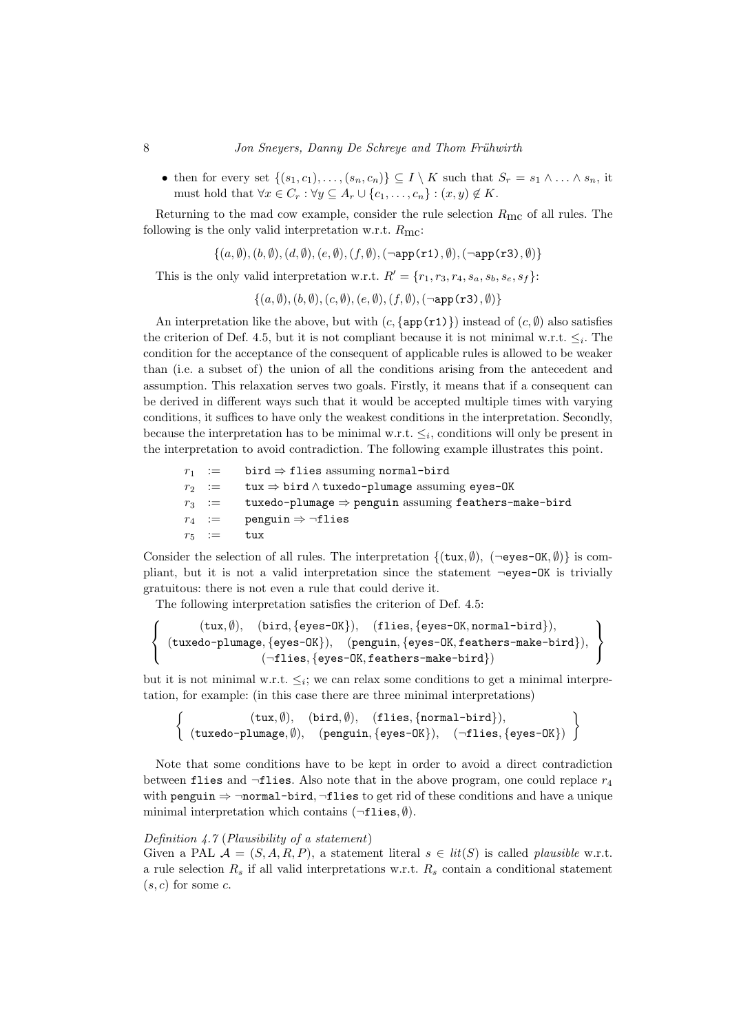• then for every set  $\{(s_1, c_1), \ldots, (s_n, c_n)\}\subseteq I\setminus K$  such that  $S_r = s_1 \wedge \ldots \wedge s_n$ , it must hold that  $\forall x \in C_r : \forall y \subseteq A_r \cup \{c_1, \ldots, c_n\} : (x, y) \notin K$ .

Returning to the mad cow example, consider the rule selection  $R_{\text{mc}}$  of all rules. The following is the only valid interpretation w.r.t.  $R_{\text{mc}}$ :

 $\{(a, \emptyset), (b, \emptyset), (d, \emptyset), (e, \emptyset), (f, \emptyset), (\neg \texttt{app(r1)}, \emptyset), (\neg \texttt{app(r3)}, \emptyset)\}\$ 

This is the only valid interpretation w.r.t.  $R' = \{r_1, r_3, r_4, s_a, s_b, s_e, s_f\}$ :

 $\{(a, \emptyset), (b, \emptyset), (c, \emptyset), (e, \emptyset), (f, \emptyset), (\neg \text{app}(\texttt{r3}), \emptyset)\}\$ 

An interpretation like the above, but with  $(c, \{app(r1)\})$  instead of  $(c, \emptyset)$  also satisfies the criterion of Def. 4.5, but it is not compliant because it is not minimal w.r.t.  $\leq_i$ . The condition for the acceptance of the consequent of applicable rules is allowed to be weaker than (i.e. a subset of) the union of all the conditions arising from the antecedent and assumption. This relaxation serves two goals. Firstly, it means that if a consequent can be derived in different ways such that it would be accepted multiple times with varying conditions, it suffices to have only the weakest conditions in the interpretation. Secondly, because the interpretation has to be minimal w.r.t.  $\leq_i$ , conditions will only be present in the interpretation to avoid contradiction. The following example illustrates this point.

```
r_1 := bird \Rightarrow flies assuming normal-bird
r_2 := tux ⇒ bird \wedge tuxedo-plumage assuming eyes-OK
r_3 := tuxedo-plumage \Rightarrow penguin assuming feathers-make-bird
r_4 := penguin \Rightarrow ¬flies
r_5 := tux
```
Consider the selection of all rules. The interpretation  $\{(\text{tux}, \emptyset), (\neg \text{eyes-OK}, \emptyset)\}\$  is compliant, but it is not a valid interpretation since the statement ¬eyes-OK is trivially gratuitous: there is not even a rule that could derive it.

The following interpretation satisfies the criterion of Def. 4.5:

$$
\left\{\begin{array}{c}(\texttt{tux},\emptyset),\quad(\texttt{bird},\{\texttt{eyes-OK}\}),\quad(\texttt{flies},\{\texttt{eyes-OK},\texttt{normal-bird}\}),\\(\texttt{tuxedo-plumage},\{\texttt{eyes-OK}\}),\quad(\texttt{penguin},\{\texttt{eyes-OK},\texttt{features-make-bird}\}),\\(\neg \texttt{flies},\{\texttt{eyes-OK},\texttt{features-make-bird}\})\end{array}\right\}
$$

but it is not minimal w.r.t.  $\leq_i$ ; we can relax some conditions to get a minimal interpretation, for example: (in this case there are three minimal interpretations)

$$
\left\{\n\begin{array}{c}\n(\text{tux}, \emptyset), \quad (\text{bird}, \emptyset), \quad (\text{flies}, \{\text{normal-bird}\}), \\
(\text{tuxedo-plumage}, \emptyset), \quad (\text{penguin}, \{\text{eyes-OK}\}), \quad (\neg \text{flies}, \{\text{eyes-OK}\})\n\end{array}\n\right\}
$$

Note that some conditions have to be kept in order to avoid a direct contradiction between flies and  $\neg$ flies. Also note that in the above program, one could replace  $r_4$ with penguin  $\Rightarrow$  ¬normal-bird,  $\neg$ flies to get rid of these conditions and have a unique minimal interpretation which contains  $(\neg$ flies,  $\emptyset)$ .

# Definition 4.7 (Plausibility of a statement)

Given a PAL  $\mathcal{A} = (S, A, R, P)$ , a statement literal  $s \in lit(S)$  is called plausible w.r.t. a rule selection  $R_s$  if all valid interpretations w.r.t.  $R_s$  contain a conditional statement  $(s, c)$  for some c.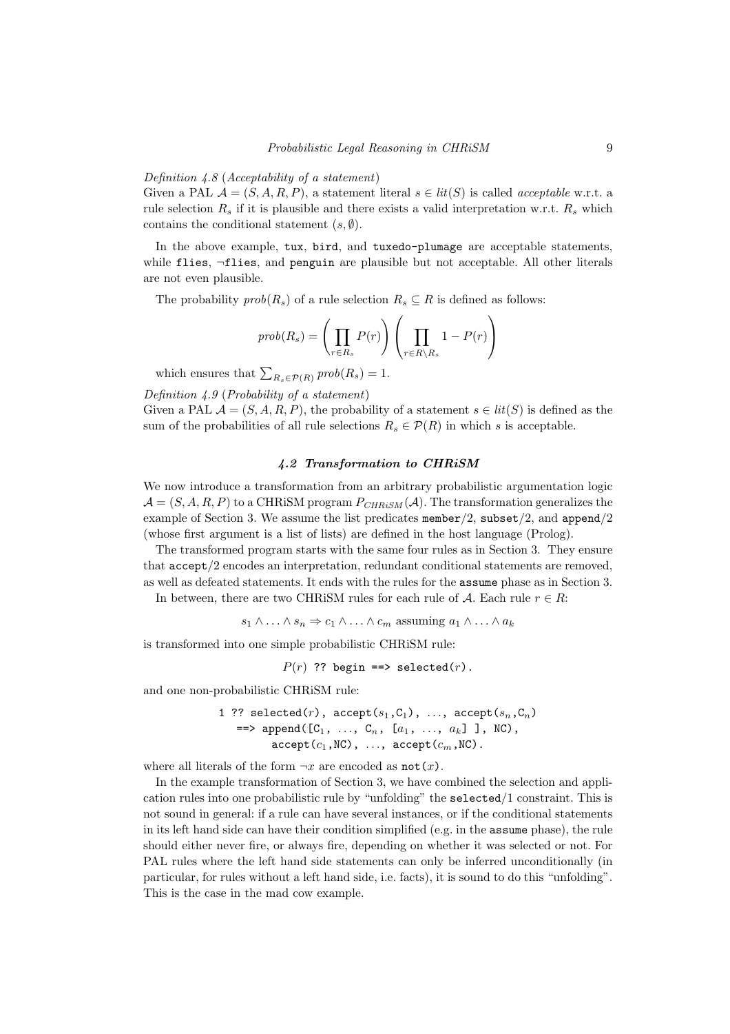#### Definition 4.8 (Acceptability of a statement)

Given a PAL  $\mathcal{A} = (S, A, R, P)$ , a statement literal  $s \in lit(S)$  is called *acceptable* w.r.t. a rule selection  $R_s$  if it is plausible and there exists a valid interpretation w.r.t.  $R_s$  which contains the conditional statement  $(s, \emptyset)$ .

In the above example, tux, bird, and tuxedo-plumage are acceptable statements, while flies, ¬flies, and penguin are plausible but not acceptable. All other literals are not even plausible.

The probability  $prob(R_s)$  of a rule selection  $R_s \subseteq R$  is defined as follows:

$$
prob(R_s) = \left(\prod_{r \in R_s} P(r)\right) \left(\prod_{r \in R \setminus R_s} 1 - P(r)\right)
$$

which ensures that  $\sum_{R_s \in \mathcal{P}(R)} \text{prob}(R_s) = 1.$ 

Definition 4.9 (Probability of a statement)

Given a PAL  $\mathcal{A} = (S, A, R, P)$ , the probability of a statement  $s \in lit(S)$  is defined as the sum of the probabilities of all rule selections  $R_s \in \mathcal{P}(R)$  in which s is acceptable.

#### 4.2 Transformation to CHRiSM

We now introduce a transformation from an arbitrary probabilistic argumentation logic  $\mathcal{A} = (S, A, R, P)$  to a CHRISM program  $P_{CHRiSM}(\mathcal{A})$ . The transformation generalizes the example of Section 3. We assume the list predicates member/2, subset/2, and append/2 (whose first argument is a list of lists) are defined in the host language (Prolog).

The transformed program starts with the same four rules as in Section 3. They ensure that accept/2 encodes an interpretation, redundant conditional statements are removed, as well as defeated statements. It ends with the rules for the assume phase as in Section 3.

In between, there are two CHRISM rules for each rule of A. Each rule  $r \in R$ :

 $s_1 \wedge \ldots \wedge s_n \Rightarrow c_1 \wedge \ldots \wedge c_m$  assuming  $a_1 \wedge \ldots \wedge a_k$ 

is transformed into one simple probabilistic CHRiSM rule:

 $P(r)$  ?? begin ==> selected(r).

and one non-probabilistic CHRiSM rule:

1 ?? selected(r),  $accept(s_1, C_1)$ , ...,  $accept(s_n, C_n)$  $\Rightarrow$  append([C<sub>1</sub>, ..., C<sub>n</sub>, [a<sub>1</sub>, ..., a<sub>k</sub>] ], NC),  $accept(c_1, NC), ..., accept(c_m, NC)$ .

where all literals of the form  $\neg x$  are encoded as  $not(x)$ .

In the example transformation of Section 3, we have combined the selection and application rules into one probabilistic rule by "unfolding" the selected/1 constraint. This is not sound in general: if a rule can have several instances, or if the conditional statements in its left hand side can have their condition simplified (e.g. in the assume phase), the rule should either never fire, or always fire, depending on whether it was selected or not. For PAL rules where the left hand side statements can only be inferred unconditionally (in particular, for rules without a left hand side, i.e. facts), it is sound to do this "unfolding". This is the case in the mad cow example.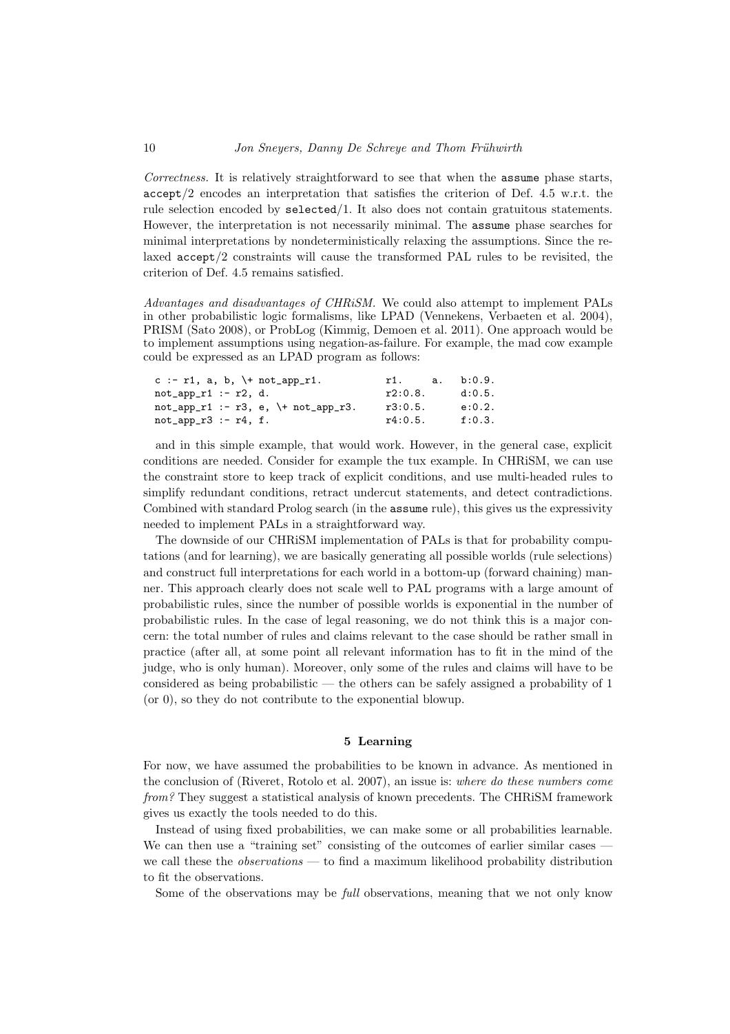Correctness. It is relatively straightforward to see that when the assume phase starts, accept/2 encodes an interpretation that satisfies the criterion of Def. 4.5 w.r.t. the rule selection encoded by selected/1. It also does not contain gratuitous statements. However, the interpretation is not necessarily minimal. The assume phase searches for minimal interpretations by nondeterministically relaxing the assumptions. Since the relaxed accept/2 constraints will cause the transformed PAL rules to be revisited, the criterion of Def. 4.5 remains satisfied.

Advantages and disadvantages of CHRiSM. We could also attempt to implement PALs in other probabilistic logic formalisms, like LPAD (Vennekens, Verbaeten et al. 2004), PRISM (Sato 2008), or ProbLog (Kimmig, Demoen et al. 2011). One approach would be to implement assumptions using negation-as-failure. For example, the mad cow example could be expressed as an LPAD program as follows:

| c :- r1, a, b, $\lnot$ not_app_r1.                                  | r1.     | a. b:0.9. |
|---------------------------------------------------------------------|---------|-----------|
| $not\_app_r1$ :- $r2$ , d.                                          | r2:0.8. | d:0.5.    |
| $not\_app\_r1$ :- $r3$ , e, $\lceil + \text{not\_app\_r3} \rceil$ . | r3:0.5. | e:0.2.    |
| $not\_app_r3$ :- $r4$ , f.                                          | r4:0.5. | f:0.3.    |

and in this simple example, that would work. However, in the general case, explicit conditions are needed. Consider for example the tux example. In CHRiSM, we can use the constraint store to keep track of explicit conditions, and use multi-headed rules to simplify redundant conditions, retract undercut statements, and detect contradictions. Combined with standard Prolog search (in the assume rule), this gives us the expressivity needed to implement PALs in a straightforward way.

The downside of our CHRiSM implementation of PALs is that for probability computations (and for learning), we are basically generating all possible worlds (rule selections) and construct full interpretations for each world in a bottom-up (forward chaining) manner. This approach clearly does not scale well to PAL programs with a large amount of probabilistic rules, since the number of possible worlds is exponential in the number of probabilistic rules. In the case of legal reasoning, we do not think this is a major concern: the total number of rules and claims relevant to the case should be rather small in practice (after all, at some point all relevant information has to fit in the mind of the judge, who is only human). Moreover, only some of the rules and claims will have to be considered as being probabilistic — the others can be safely assigned a probability of 1 (or 0), so they do not contribute to the exponential blowup.

## 5 Learning

For now, we have assumed the probabilities to be known in advance. As mentioned in the conclusion of (Riveret, Rotolo et al. 2007), an issue is: where do these numbers come from? They suggest a statistical analysis of known precedents. The CHRiSM framework gives us exactly the tools needed to do this.

Instead of using fixed probabilities, we can make some or all probabilities learnable. We can then use a "training set" consisting of the outcomes of earlier similar cases we call these the *observations* — to find a maximum likelihood probability distribution to fit the observations.

Some of the observations may be *full* observations, meaning that we not only know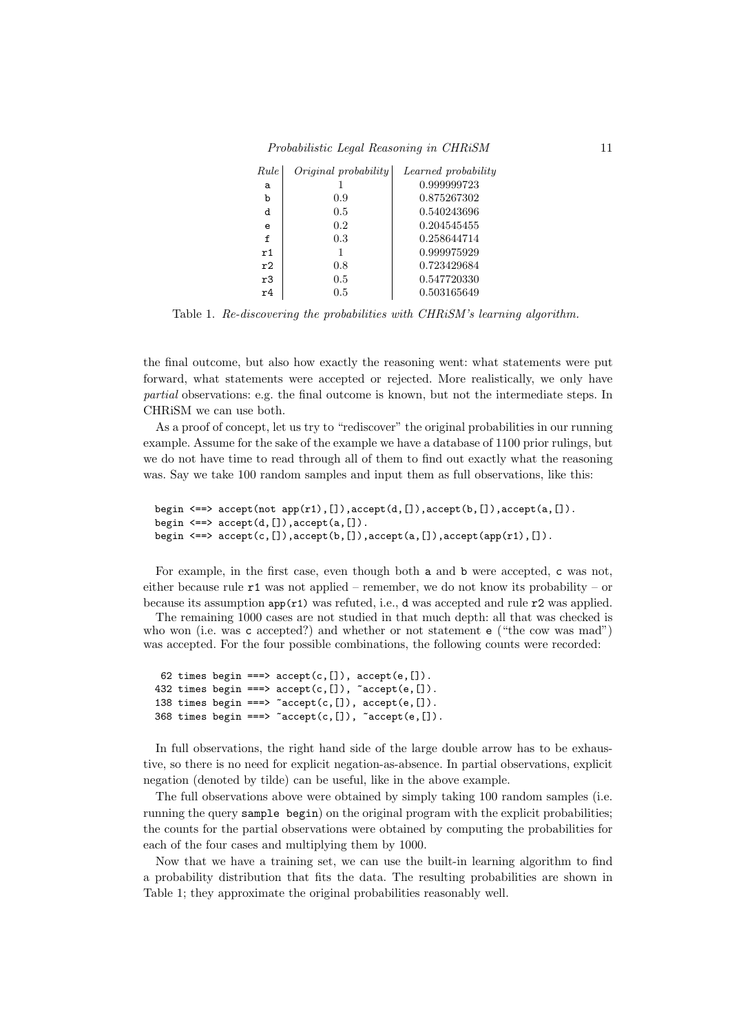| Rule        | Original probability | Learned probability |
|-------------|----------------------|---------------------|
| a           |                      | 0.999999723         |
| b           | 0.9                  | 0.875267302         |
| d           | 0.5                  | 0.540243696         |
| e           | 0.2                  | 0.204545455         |
| $\mathbf f$ | 0.3                  | 0.258644714         |
| r1          |                      | 0.999975929         |
| r2          | 0.8                  | 0.723429684         |
| r3          | $0.5\,$              | 0.547720330         |
| r4          | $0.5\,$              | 0.503165649         |

Table 1. Re-discovering the probabilities with CHRiSM's learning algorithm.

the final outcome, but also how exactly the reasoning went: what statements were put forward, what statements were accepted or rejected. More realistically, we only have partial observations: e.g. the final outcome is known, but not the intermediate steps. In CHRiSM we can use both.

As a proof of concept, let us try to "rediscover" the original probabilities in our running example. Assume for the sake of the example we have a database of 1100 prior rulings, but we do not have time to read through all of them to find out exactly what the reasoning was. Say we take 100 random samples and input them as full observations, like this:

```
begin \leq \geq accept(not app(r1), []), accept(d, []), accept(b, []), accept(a, []).
begin \leq \geq accept(d, []), accept(a, []).
begin \leq => \text{accept}(c,[]), \text{accept}(b,[]), \text{accept}(a,[]), \text{accept}(\text{app}(r1),[]).
```
For example, in the first case, even though both a and b were accepted, c was not, either because rule  $r1$  was not applied – remember, we do not know its probability – or because its assumption  $app(r1)$  was refuted, i.e., d was accepted and rule  $r2$  was applied.

The remaining 1000 cases are not studied in that much depth: all that was checked is who won (i.e. was c accepted?) and whether or not statement  $e$  ("the cow was mad") was accepted. For the four possible combinations, the following counts were recorded:

```
62 times begin ===> accept(c, []), accept(e, []).
432 times begin ===> accept(c,[]), ~accept(e,[]).
138 times begin ===> \text{c} accept(c, []), accept(e, []).
368 times begin ===> \text{°accept}(c, []), \text{°accept}(e, []).
```
In full observations, the right hand side of the large double arrow has to be exhaustive, so there is no need for explicit negation-as-absence. In partial observations, explicit negation (denoted by tilde) can be useful, like in the above example.

The full observations above were obtained by simply taking 100 random samples (i.e. running the query sample begin) on the original program with the explicit probabilities; the counts for the partial observations were obtained by computing the probabilities for each of the four cases and multiplying them by 1000.

Now that we have a training set, we can use the built-in learning algorithm to find a probability distribution that fits the data. The resulting probabilities are shown in Table 1; they approximate the original probabilities reasonably well.